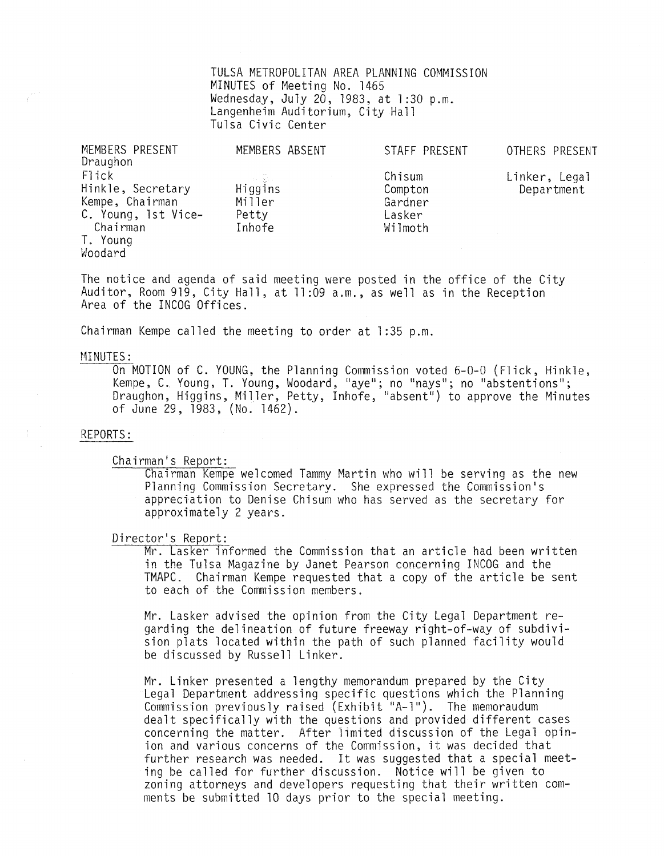TULSA METROPOLITAN AREA PLANNING COMMISSION MINUTES of Meeting No. 1465 Wednesday, July 20, 1983, at 1:30 p.m.<br>Langenheim Auditorium, City Hall Tulsa Civic Center

| MEMBERS PRESENT<br>Draughon                                                                             | MEMBERS ABSENT                                      | STAFF PRESENT                                     | OTHERS PRESENT              |
|---------------------------------------------------------------------------------------------------------|-----------------------------------------------------|---------------------------------------------------|-----------------------------|
| Flick<br>Hinkle, Secretary<br>Kempe, Chairman<br>C. Young, 1st Vice-<br>Chairman<br>T. Young<br>Woodard | o na gius i<br>Higgins<br>Miller<br>Petty<br>Inhofe | Chisum<br>Compton<br>Gardner<br>Lasker<br>Wilmoth | Linker, Legal<br>Department |

The notice and agenda of said meeting were posted in the office of the City Auditor, Room 919, City Hall, at 11 :09 a.m., as well as in the Reception Area of the INCOG Offices.

Chairman Kempe called the meeting to order at 1:35 p.m.

#### MINUTES:

On MOTION of C. YOUNG, the Planning Commission voted 6-0-0 (Flick, Hinkle, Kempe, C. Young, T. Young, Woodard, "aye"; no "nays"; no "abstentions"; Draughon, Higgins, Miller, Petty, Inhofe, "absent") to approve the Minutes of June 29,1983, (No. 1462).

#### REPORTS:

Chairman's Report:

Chairman Kempe welcomed Tammy Martin who will be serving as the new Planning Commission Secretary. She expressed the Commission's appreciation to Denise Chisum who has served as the secretary for approximately 2 years.

# Director's Report:

Mr. Lasker informed the Commission that an article had been written in the Tulsa Magazine by Janet Pearson concerning INCOG and the TMAPC. Chairman Kempe requested that a copy of the article be sent to each of the Commission members.

Mr. Lasker advised the opinion from the City Legal Department regarding the delineation of future freeway right-of-way of subdivision plats located within the path of such planned facility would be discussed by Russell Linker.

Mr. Linker presented a lengthy memorandum prepared by the City Legal Department addressing specific questions which the Planning Commission previously raised (Exhibit "A-I"). The memoraudum dealt specifically with the questions and provided different cases concerning the matter. After 1imited discussion of the Legal opinion and various concerns of the Commission, it was decided that further research was needed. It was suggested that a special meeting be called for further discussion. Notice will be given to zoning attorneys and developers requesting that their written comments be submitted 10 days prior to the special meeting.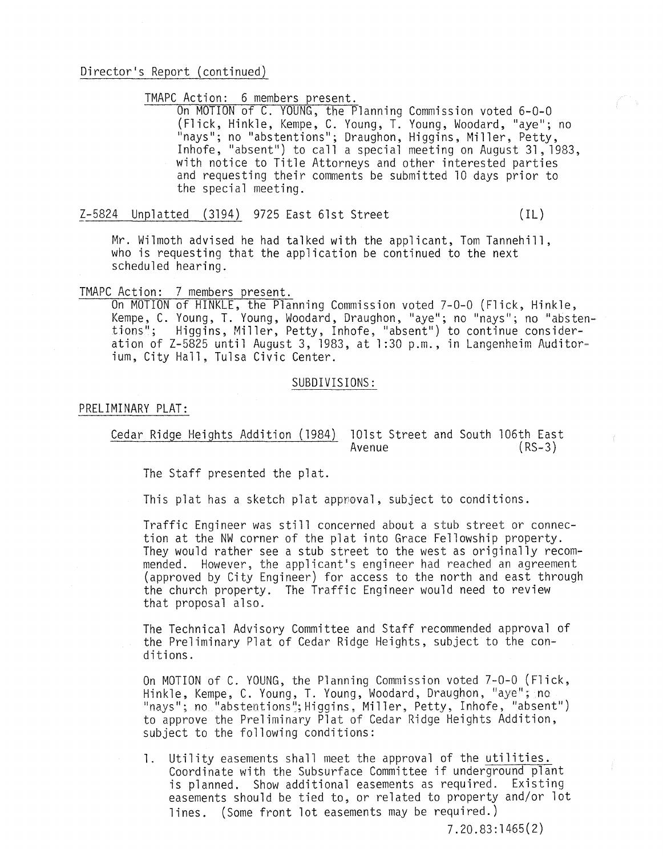## Director's Report (continued)

TMAPC Action: 6 members present.

On MOTION of C. YOUNG, the Planning Commission voted 6-0-0 (Flick, Hinkle, Kempe, C. Young, T. Young, Woodard, "aye"; no "nays"; no "abstentions"; Draughon, Higgins, Miller, Petty, Inhofe, "absent") to call a special meeting on August 31,1983, with notice to Title Attorneys and other interested parties and requesting their comments be submitted 10 days prior to the special meeting.

Z-5824 Unplatted (3194) 9725 East 61st Street (IL)

Mr. Wilmoth advised he had talked with the applicant, Tom Tannehill, who is requesting that the application be continued to the next scheduled hearing.

### TMAPC Action: 7 members present.

On MOTION of HINKLE, the Planning Commission voted 7-0-0 (Flick, Hinkle, Kempe, C. Young, T. Young, Woodard, Draughon, "aye"; no "nays"; no "abstentions"; Higgins, Miller, Petty, Inhofe, "absent") to continue consider**ation of Z-5825 until August 3, 1983, at 1 :30 p.m., in Langenheim Auditor=**  ium, City Hall, Tulsa Civic Center.

#### SUBDIVISIONS:

#### PRELIMINARY PLAT:

# Cedar Ridge Heights Addition (1984) 101st Street and South 106th East<br>Avenue (RS-3) Avenue

The Staff presented the plat.

This plat has a sketch plat appnoval, subject to conditions.

Traffic Engineer was still concerned about a stub street or connection at the NW corner of the plat into Grace Fellowship property. They would rather see a stub street to the west as originally recommended. However, the applicant's engineer had reached an agreement (approved by City Engineer) for access to the north and east through the church property. The Traffic Engineer would need to review that proposal also.

The Technical Advisory Committee and Staff recommended approval of the Preliminary Plat of Cedar Ridge Heights, subject to the conditions.

On MOTION of C. YOUNG, the Planning Commission voted 7-0-0 (Flick, Hinkle, Kempe, C. Young, T. Young, Woodard, Draughon, "aye"; no "nays"; no "abstentions"; Higgins, Miller, Petty, Inhofe, "absent") to approve the Preliminary Plat of Cedar Ridge Heights Addition, subject to the following conditions:

1. Utility easements shall meet the approval of the utilities. Coordinate with the Subsurface Committee if underground plant is planned. Show additional easements as required. Existing easements should be tied to, or related to property and/or lot lines. (Some front lot easements may be required.)

7.20.83:1465(2)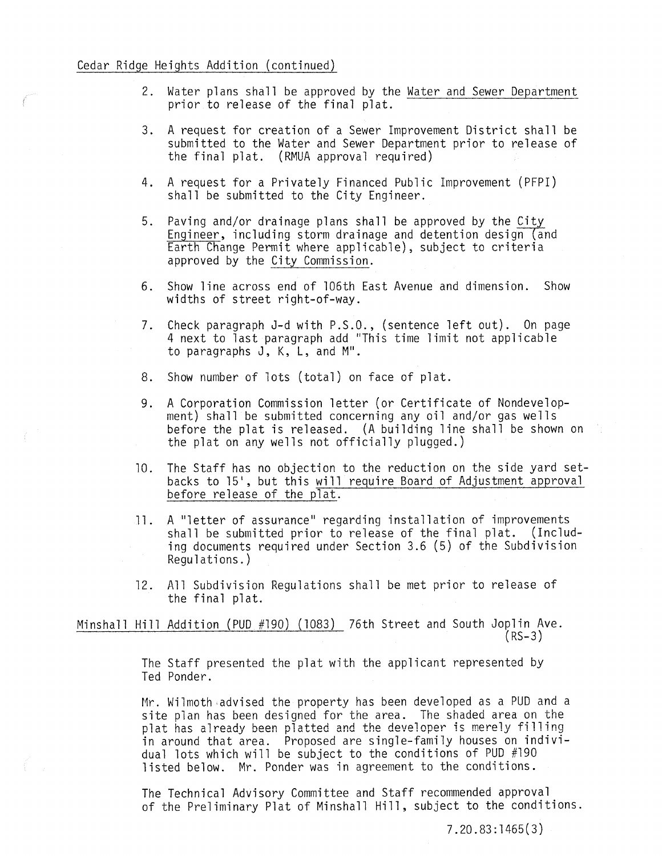- 2. Water plans shall be approved by the Water and Sewer Department prior to release of the final plat.
- 3. A request for creation of a Sewer Improvement District shall be submitted to the Water and Sewer Department prior to release of the final plat. (RMUA approval required)
- 4. A request for a Privately Financed Public Improvement (PFPI) shall be submitted to the City Engineer.
- 5. Paving and/or drainage plans shall be approved by the City Engineer, including storm drainage and detention design (and engineer, including storm drainage and detention design (an<br>Earth Change Permit where applicable), subject to criteria approved by the City Commission.
- 6. Show line across end of 106th East Avenue and dimension. Show widths of street right-of-way.
- 7. Check paragraph J-d with P.S.O., (sentence left out). On page 4 next to last paragraph add "This time limit not applicable to paragraphs J, K, L, and M".
- 8. Show number of lots (total) on face of plat.
- 9. A Corporation Commission letter (or Certificate of Nondevelop- ment) shall be submitted concerning any oil and/or gas wells before the plat is released. (A building line shall be shown on the plat on any wells not officially plugged.)
- 10. The Staff has no objection to the reduction on the side yard setbacks to 15', but this will require Board of Adjustment approval before release of the plat.
- 11. A "letter of assurance" regarding installation of improvements shall be submitted prior to release of the final plat. (Including documents required under Section 3.6 (5) of the Subdivision Regulations.)
- 12. All Subdivision Regulations shall be met prior to release of the final plat.

Minshall Hill Addition (PUD #190) (1083) 76th Street and South Joplin Ave.  $(RS-3)$ 

> The Staff presented the plat with the applicant represented by Ted Ponder.

Mr. Wilmoth advised the property has been developed as a PUD and a site plan has been designed for the area. The shaded area on the plat has already been platted and the developer is merely filling in around that area. Proposed are single-family houses on individual lots which will be subject to the conditions of PUD #190 listed below. Mr. Ponder was in agreement to the conditions.

The Technical Advisory Committee and Staff recommended approval of the Preliminary Plat of Minshall Hill, subject to the conditions.

7.20.83:1465(3)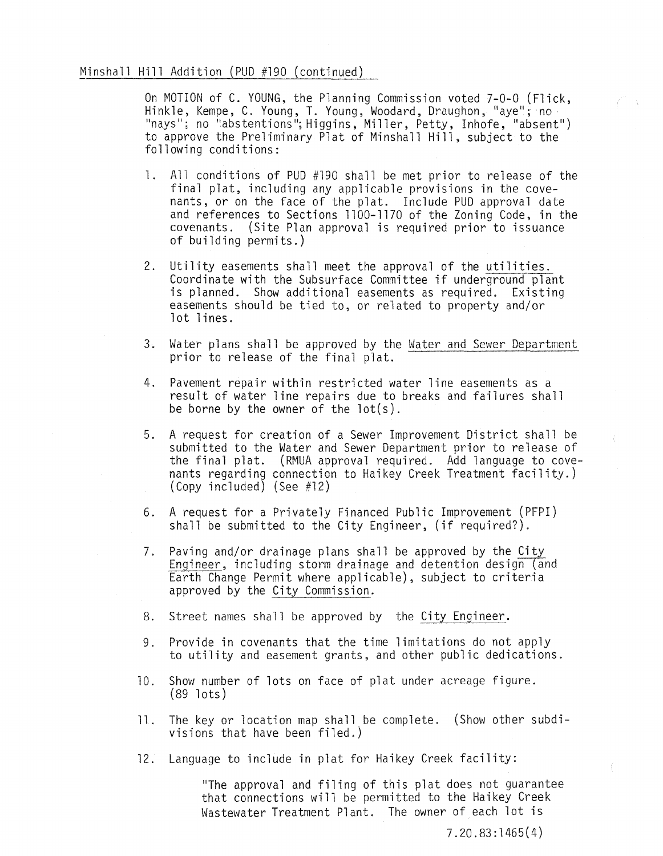# Minshall Hill Addition (PUD #190 (continued)

On MOTION of C. YOUNG, the Planning Commission voted 7-0-0 (Flick, Hinkle, Kempe, C. Young, T. Young, Woodard, Draughon, "aye"; no I'nays"; no "abstentions"; Higgins, Miller, Petty, Inhofe, "absent") to approve the Preliminary Plat of Minshall Hill, subject to the following conditions:

- 1. All conditions of PUD #190 shall be met prior to release ot the final plat, including any applicable provisions in the covenants, or on the face of the plat. Include PUD approval date and references to Sections 1100-1170 of the Zoning Code, in the covenants. (Site Plan approval is required prior to issuance of building permits.)
- 2. Utility easements shall meet the approval of the utilities. Coordinate with the Subsurface Committee if underground plant is planned. Show additional easements as required. Existing easements should be tied to, or related to property and/or lot lines.
- 3. Water plans shall be approved by the Water and Sewer Department prior to release of the final plat.
- 4. Pavement repair within restricted water line easements as a result of water line repairs due to breaks and failures shall be borne by the owner of the lot(s).
- 5. A request for creation of a Sewer Improvement District shall be submitted to the Water and Sewer Department prior to release of the final plat. (RMUA approval required. Add language to covenants regarding connection to Haikey Creek Treatment facility.) (Copy included) (See #12)
- 6. A request for a Privately Financed Public Improvement (PFPI) shall be submitted to the City Engineer, (if required?).
- 7. Paving and/or drainage plans shall be approved by the City Engineer, including storm drainage and detention design (and Earth Change Permit where applicable), subject to criteria approved by the City Commission.
- 8. Street names shall be approved by the City Engineer.
- 9. Provide in covenants that the time limitations do not apply to utility and easement grants, and other public dedications.
- 10. Show number of lots on face of plat under acreage figure. (89 lots)
- 11. The key or location map shall be complete. (Show other subdivisions that have been filed.)
- 12. Language to include in plat for Haikey Creek facility:

"The approval and filing of this plat does not guarantee that connections will be permitted to the Haikey Creek Wastewater Treatment Plant. The owner of each lot is

7 . 20 . 83 : 1 465 ( 4 )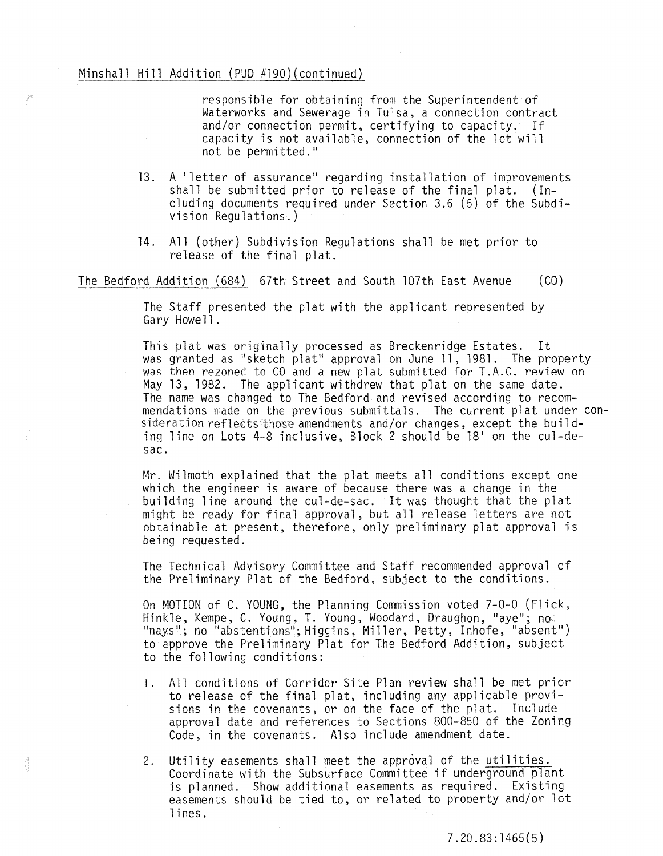# Minshall Hill Addition (PUD #l90)(continued)

đ

responsible for obtaining from the Superintendent of Waterworks and Sewerage in Tulsa, a connection contract and/or connection permit, certifying to capacity. If capacity is not available, connection of the lot will not be permitted."

- 13. A "letter of assurance" regarding installation of improvements shall be submitted prior to release of the final plat. (Including documents required under Section 3.6 (5) of the Subdivision Regulations.)
- 14. All (other) Subdivision Regulations shall be met prior to release of the final plat.

The Bedford Addition (684) 67th Street and South l07th East Avenue (CO)

The Staff presented the plat with the applicant represented by Gary Howell.

This plat was originally processed as Breckenridge Estates. It was granted as "sketch plat" approval on June 11, 1981. The property was then rezoned to CO and a new plat submitted for T.A.C. review on May 13, 1982. The applicant withdrew that plat on the same date. The name was changed to The Bedford and revised according to recommendations made on the previous submittals. The current plat under consideration reflects those amendments and/or changes, except the building line on Lots 4-8 inclusive, Block 2 should be 18' on the cul-desac.

Mr. Wilmoth explained that the plat meets all conditions except one which the engineer is aware of because there was a change in the building line around the cul-de-sac. It was thought that the plat might be ready for final approval, but all release letters are not obtainable at present, therefore, only preliminary plat approval is being requested.

The Technical Advisory Committee and Staff recommended approval of the Preliminary Plat of the Bedford, subject to the conditions.

On MOTION of C. YOUNG, the Planning Commission voted 7-0-0 (Flick, Hinkle, Kempe, C. Young, T. Young, Woodard, Draughon, "aye"; no "nays"; no "abstentions"; Higgins, Miller, Petty, Inhofe, "absent") to approve the Preliminary Plat for The Bedford Addition, subject to the following conditions:

- 1. All conditions of Corridor Site Plan review shall be met prior to release of the final plat, including any applicable provisions in the covenants, or on the face of the plat. Include approval date and references to Sections 800-850 of the Zoning Code, in the covenants. Also include amendment date.
- 2. Utility easements shall meet the approval of the utilities. Coordinate with the Subsurface Committee if underground plant is planned. Show additional easements as required. Existing easements should be tied to, or related to property and/or lot lines.

7.20.83: 1465 (5 )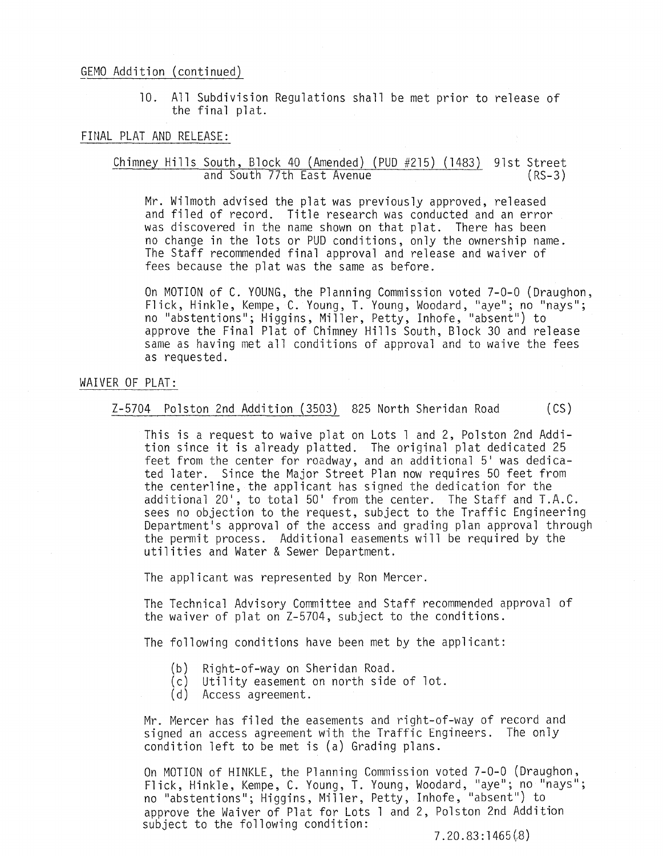#### GEMO Addition (continued)

10. All Subdivision Regulations shall be met prior to release of the final plat.

## FINAL PLAT AND RELEASE:

#### Chimney Hills South, Block 40 (Amended) (PUD #215) (1483) 9lst Street and South *71th* East Avenue  $(RS-3)$

Mr. Wilmoth advised the plat was previously approved, released and filed of record. Title research was conducted and an error was discovered in the name shown on that plat. There has been no change in the lots or PUD conditions, only the ownership name. The Staff recommended final approval and release and waiver of fees because the plat was the same as before.

On MOTION of C. YOUNG, the Planning Commission voted 7-0-0 (Draughon, Flick, Hinkle, Kempe, C. Young, 1. Young, Woodard, "aye"; no "nays"; no "abstentions"; Higgins, Miller, Petty, Inhofe, "absent") to approve the Final Plat of Chimney Hills South, Block 30 and release same as having met all conditions of approval and to waive the fees as requested.

#### WAIVER OF PLAT:

#### Z-5704 Polston 2nd Addition (3503) 825 North Sheridan Road (CS)

This is a request to waive plat on Lots 1 and 2, Polston 2nd Addition since it is already platted. The original plat dedicated 25 feet from the center for roadway, and an additional 5' was dedicated later. Since the Major Street Plan now requires 50 feet from the centerline, the applicant has signed the dedication for the additional 20', to total 50' from the center. The Staff and T.A.C. sees no objection to the request, subject to the Traffic Engineering Department's approval of the access and grading plan approval through the permit process. Additional easements will be required by the utilities and Water & Sewer Department.

The applicant was represented by Ron Mercer.

The Technical Advisory Committee and Staff recommended approval of the waiver of plat on Z-5704, subject to the conditions.

The following conditions have been met by the applicant:

- (b) Right-of-way on Sheridan Road.
- (c) Utility easement on north side of lot.
- (d) Access agreement.

Mr. Mercer has filed the easements and right-of-way of record and signed an access agreement with the Traffic Engineers. The onlY condition left to be met is (a) Grading plans.

On MOTION of HINKLE, the Planning Commission voted 7-0-0 (Draughon, Flick, Hinkle, Kempe, C. Young, T. Young, Woodard, "aye"; no "nays"; no "abstentions"; Higgins, Miller, Petty, Inhofe, "absent") to approve the Waiver of Plat for Lots 1 and 2, Polston 2nd Addition subject to the following condition:

7.20.83:1465(8)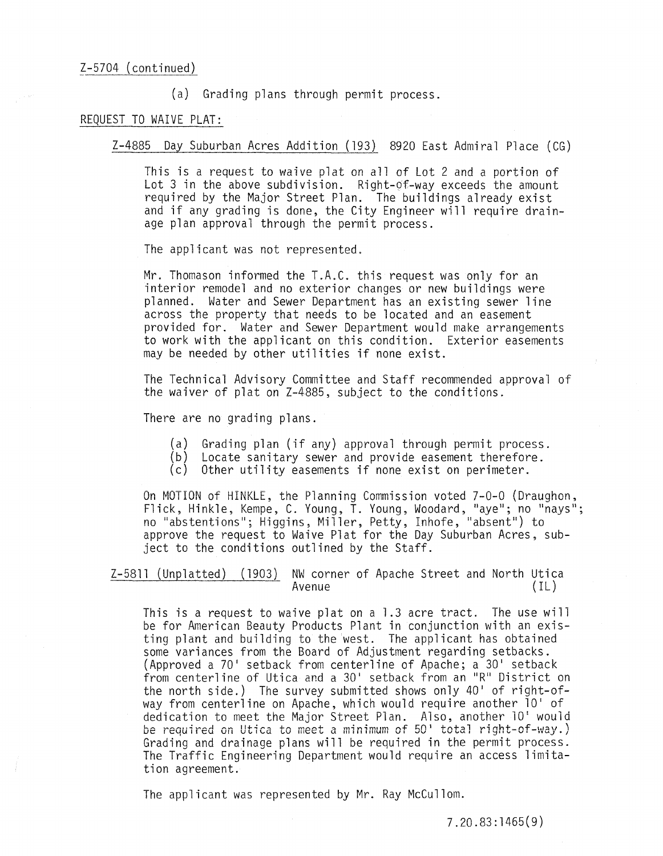(a) Grading plans through permit process.

## REQUEST TO WAIVE PLAT:

Z-4885 Day Suburban Acres Addition (193) 8920 East Admiral Place (CG)

This is a request to waive plat on all of Lot 2 and a portion of Lot 3 in the above subdivision. Right- $of$ -way exceeds the amount required by the Major Street Plan. The buildings already exist and if any grading is done, the City Engineer will require drainage plan approval through the permit process.

The applicant was not represented.

Mr. Thomason informed the T.A.C. this request was only for an interior remodel and no exterior changes or new buildings were planned. Water and Sewer Department has an existing sewer line across the property that needs to be located and an easement provided for. Water and Sewer Department would make arrangements to work with the applicant on this condition. Exterior easements may be needed by other utilities if none exist.

The Technical Advisory Committee and Staff recommended approval of the waiver of plat on Z-4885, subject to the conditions.

There are no grading plans.

- (a) Grading plan (if any) approval through permit process.
- (b) Locate sanitary sewer and provide easement therefore.
- (c) Other utility easements if none exist on perimeter.

On MOTION of HINKLE, the Planning Commission voted 7-0-0 (Draughon,<br>Flick, Hinkle, Kempe, C. Young, T. Young, Woodard, "aye"; no "nays"; no "abstentions"; Higgins, Miller, Petty, Inhofe, "absent") to approve the request to Waive Plat for the Day Suburban Acres, subject to the conditions outlined by the Staff.

<u>Z-58ll (Unplatted) (1903)</u> NW corner of Apache Street and North Utica<br>Avenue<br>(IL)

This is a request to waive plat on a 1.3 acre tract. The use will be for American Beauty Products Plant in conjunction with an existing plant and building to the west. The applicant has obtained some variances from the Board of Adjustment regarding setbacks. (Approved a 70' setback from centerline of Apache; a 30' setback from centerline of Utica and a 30' setback from an "R" District on the north side.) The survey submitted shows only  $40'$  of right-ofway from centerline on Apache, which would require another 10' of dedication to meet the Major Street Plan. Also, another 10' would be required on Utica to meet a minimum of 50' total right-of-way.) Grading and drainage plans will be required in the permit process. The Traffic Engineering Department would require an access limitation agreement.

The applicant was represented by Mr. Ray McCullom.

7.20.83:1465(9)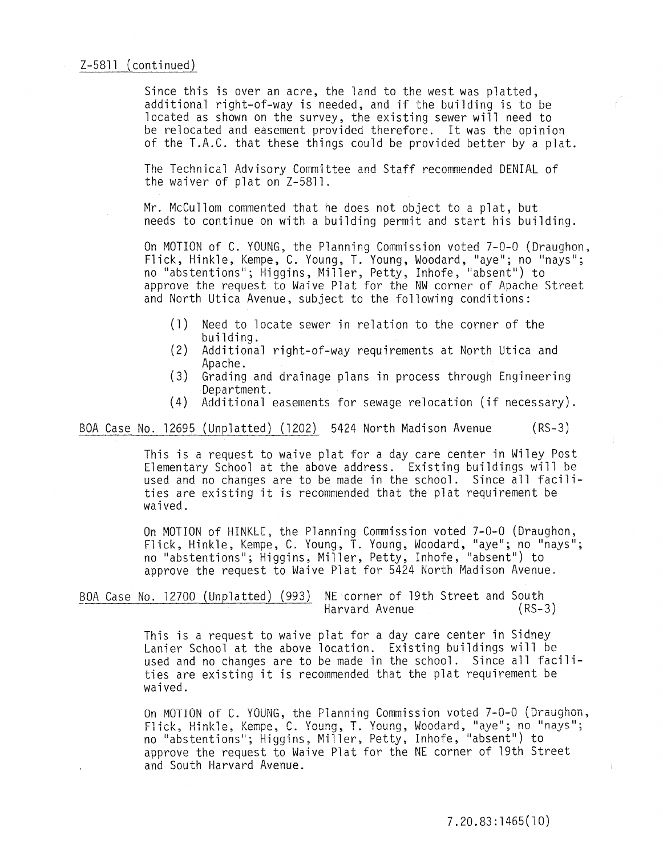#### $Z-5811$  (continued)

Since this is over an acre, the land to the west was platted, additional right-of-way is needed, and if the building is to be located as shown on the survey, the existing sewer will need to be relocated and easement provided therefore. It was the opinion of the T.A.C. that these things could be provided better by a plat.

The Technical Advisory Committee and Staff recommended DENIAL of the waiver of plat on Z-58l1.

Mr. McCullom commented that he does not object to a plat, but needs to continue on with a building permit and start his building.

On MOTION of C. YOUNG, the Planning Commission voted 7-0-0 (Draughon,<br>Flick, Hinkle, Kempe, C. Young, T. Young, Woodard, "aye"; no "nays"; no "abstentions"; Higgins, Miller, Petty, Inhofe, "absent") to approve the request to Waive Plat for the NW corner of Apache Street and North Utica Avenue, subject to the following conditions:

- (1) Need to locate sewer in relation to the corner of the building.
- (2) Additional right-of-way requirements at North Utica and Apache.
- (3) Grading and drainage plans in process through Engineering Department.
- (4) Additional easements for sewage relocation (if necessary) .

BOA Case No. 12695 (Unplatted) (1202) 5424 North Madison Avenue (RS-3)

This is a request to waive plat for a day care center in Wiley Post Elementary School at the above address. Existing buildings will be used and no changes are to be made in the school. Since all facilities are existing it is recommended that the plat requirement be waived.

On MOTION of HINKLE, the Planning Commission voted 7-0-0 (Draughon, Flick, Hinkle, Kempe, C. Young, T. Young, Woodard, "aye"; no "nays"; no "abstentions"; Higgins, Miller, Petty, Inhofe, "absent") to approve the request to Waive Plat for 5424 North Madison Avenue.

BOA Case No. 12700 (Unplatted) (993) NE corner of 19th Street and South Harvard Avenue

> This is a request to waive plat for a day care center in Sidney Lanier School at the above location. Existing buildings will be used and no changes are to be made in the school. Since all facilities are existing it is recommended that the plat requirement be waived.

On MOTION of C. YOUNG, the Planning Commission voted 7-0-0 (Draughon, Flick, Hinkle, Kempe, C. Young, T. Young, Woodard, "aye"; no "nays"; no "abstentions"; Higgins, Miller, Petty, Inhofe, "absent") to approve the request to Waive Plat for the NE corner of 19th Street and South Harvard Avenue.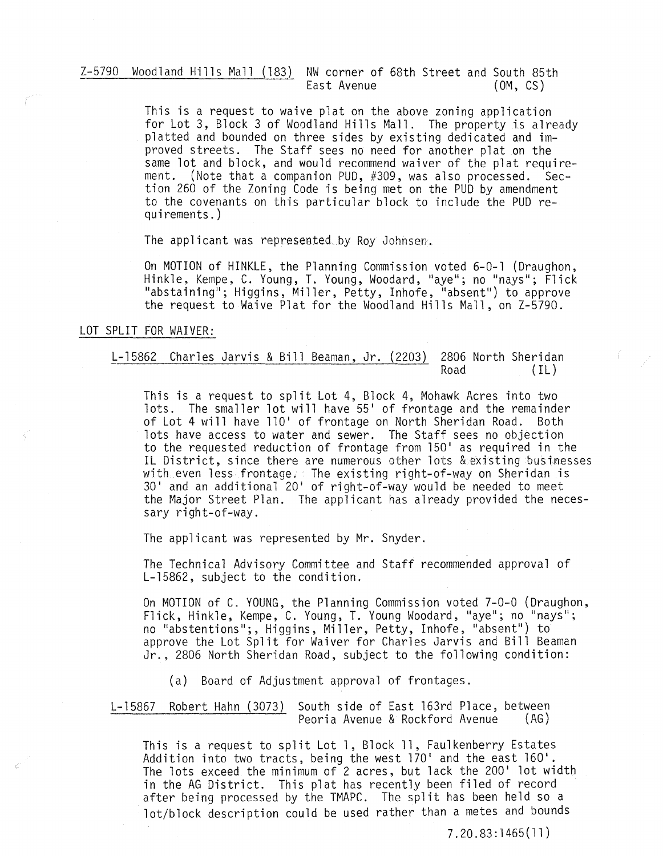Z-5790 Woodland Hills Mall (183) NW corner of 68th Street and South 85th East Avenue

> This is a request to waive plat on the above zoning application for Lot 3, Block 3 of Woodland Hills Mall. The property is already platted and bounded on three sides by existing dedicated and improved streets. The Staff sees no need for another plat on the same lot and block, and would recommend waiver of the plat requirement. (Note that a companion PUD, #309, was also processed. Section 260 of the Zoning Code is being met on the PUD by amendment to the covenants on this particular block to include the PUD requirements.)

The applicant was represented by Roy Johnsen.

On MOTION of HINKLE, the Planning Commission voted 6-0-1 (Draughon, Hinkle, Kempe, C. Young, T. Young, Woodard, "aye"; no "nays"; Flick "abstaining"; Higgins, Miller, Petty, Inhofe, "absent") to approve the request to Waive Plat for the Woodland Hills Mall, on Z-5790.

# LOT SPLIT FOR WAIVER:

# L-15862 Charles Jarvis & Bill Beaman, Jr. (2203) 2806 North Sheridan  $(IL)$

This is a request to split Lot 4, Block 4, Mohawk Acres into two lots. The smaller lot will have 55' of frontage and the remainder of Lot 4 will have 110' of frontage on North Sheridan Road. Both lots have access to water and sewer. The Staff sees no objection to the requested reduction of frontage from 150' as required in the IL District, since there are numerous other lots &existing businesses with even less frontage. The existing right-of-way on Sheridan is 30' and an additional 20' of right-of-way would be needed to meet the Major Street Plan. The applicant has already provided the necessary right-of-way.

The applicant was represented by Mr. Snyder.

The Technical Advisory Committee and Staff recommended approval of L-15862, subject to the condition.

On MOTION of C. YOUNG, the Planning Commission voted 7-0-0 (Draughon, Flick, Hinkle, Kempe, C. Young, T. Young Woodard, "aye"; no "nays"; no "abstentions";, Higgins, Miller, Petty, Inhofe, "absent") to approve the Lot Split for Waiver for Charles Jarvis and Bill Beaman Jr., 2806 North Sheridan Road, subject to the following condition:

(a) Board of Adjustment approval of frontages.

L-15867 Robert Hahn (3073) South side of East 163rd Place, between Peoria Avenue & Rockford Avenue (AG)

This is a request to split Lot 1, Block 11, Faulkenberry Estates Addition into two tracts, being the west 170' and the east 160'. The lots exceed the minimum of 2 acres, but lack the 200' lot width in the AG District. This plat has recently been filed of record after being processed by the TMAPC. The split has been held so a lot/block description could be used rather than a metes and bounds

7.20.83:1465(11)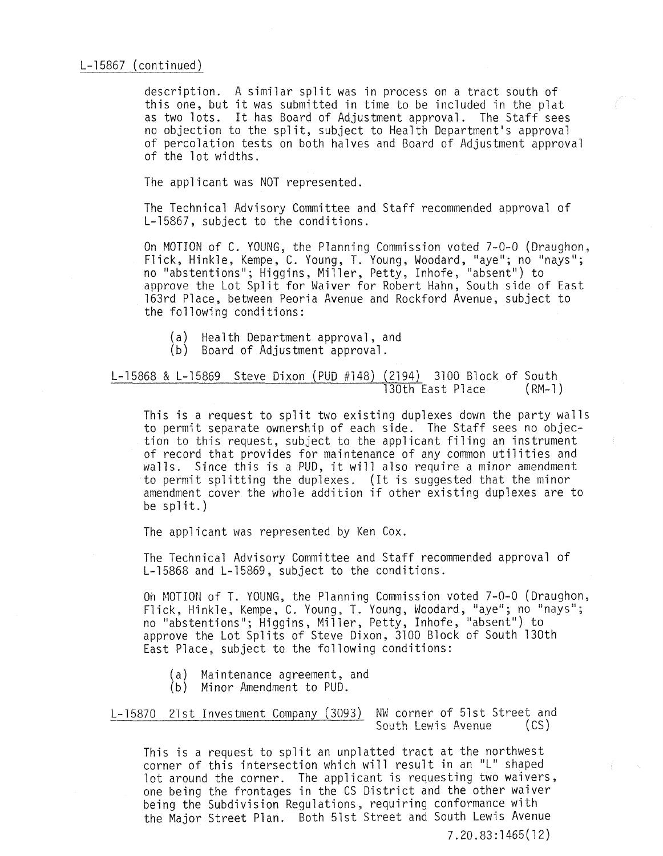description. A similar split was in process on a tract south of this one, but it was submitted in time to be included in the plat as two lots. It has Board of Adjustment approval. The Staff sees no objection to the split, subject to Health Department's approval of percolation tests on both halves and Board of Adjustment approval of the lot widths.

The applicant was NOT represented.

The Technical Advisory Committee and Staff recommended approval of L-15867, subject to the conditions.

On MOTION of C. YOUNG, the Planning Commission voted 7-0-0 (Draughon, Flick, Hinkle, Kempe, C. Young, T. Young, Woodard, "aye"; no "nays"; no "abstentions"; Higgins, Miller, Petty, Inhofe, "absent") to approve the Lot Split for Waiver for Robert Hahn, South side of East l63rd Place, between Peoria Avenue and Rockford Avenue, subject to the following conditions:

- (a) Health Department approval, and
- (b) Board of Adjustment approval.

L-15868 & L-15869 Steve Dixon (PUD #148) (2194) 3100 Block of South<br>130th East Place (RM-1) 130th East Place

This is a request to split two existing duplexes down the party walls to permit separate ownership of each side. The Staff sees no objection to this request, subject to the applicant filing an instrument of record that provides for maintenance of any common utilities and walls. Since this is a PUD, it will also require a minor amendment to permit splitting the duplexes. (It is suggested that the minor amendment cover the whole addition if other existing duplexes are to be  $split.)$ 

The applicant was represented by Ken Cox.

The Technical Advisory Committee and Staff recommended approval of L-15868 and L-15869, subject to the conditions.

On MOTION of T. YOUNG, the Planning Commission voted 7-0-0 (Draughon, Flick, Hinkle, Kempe, C. Young, T. Young, Woodard, "aye"; no "nays"; no "abstentions"; Higgins, Miller, Petty, Inhofe, "absent") to approve the Lot Splits of Steve Dixon, 3100 Block of South l30th East Place, subject to the following conditions:

- (a) Maintenance agreement, and
- (b) Minor Amendment to PUD.

L-15870 21st Investment Company (3093) NW corner of 51st Street and<br>South Lewis Avenue (CS) South Lewis Avenue

This is a request to split an unplatted tract at the northwest corner of this intersection which will result in an "L" shaped lot around the corner. The applicant is requesting two waivers, one being the frontages in the CS District and the other waiver being the Subdivision Regulations, requiring conformance with the Major Street Plan. Both 51st Street and South Lewis Avenue

7.20.83:1465(12)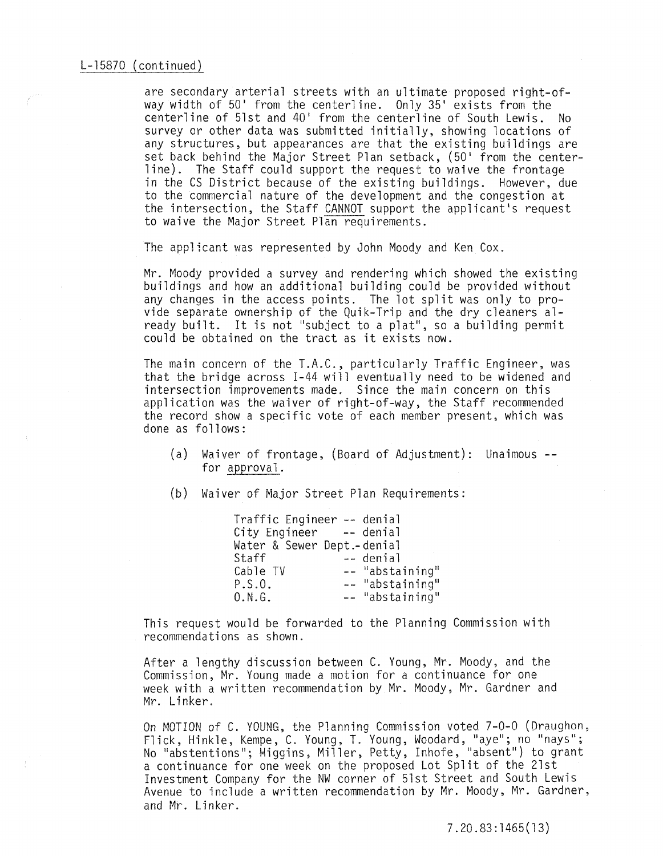are secondary arterial streets with an ultimate proposed right-ofway width of 50' from the centerline. Only 35' exists from the centerline of 51st and 40' from the centerline of South Lewis. No survey or other data was submitted initially, showing locations of any structures, but appearances are that the existing buildings are set back behind the Major Street Plan setback, (50' from the centerline). The Staff could support the request to waive the frontage in the CS District because of the existing buildings. However, due to the commercial nature of the development and the congestion at the intersection, the Staff CANNOT support the applicant's request to waive the Major Street Plan requirements.

The applicant was represented by John Moody and Ken Cox.

Mr. Moody provided a survey and rendering which showed the existing<br>buildings and how an additional building could be provided without<br>any changes in the access points. The lot split was only to provide separate ownership of the Quik-Trip and the dry cleaners already built. It is not "subject to a plat", so a building permit could be obtained on the tract as it exists now.

The main concern of the T.A.C., particularly Traffic Engineer, was that the bridge across 1-44 will eventually need to be widened and intersection improvements made. Since the main concern on this application was the waiver of right-of-way, the Staff recommended the record show a specific vote of each member present, which was done as follows:

(a) Waiver of frontage, (Board of Adjustment): Unaimous- for approval.

(b) Waiver of Major Street Plan Requirements:

Traffic Engineer -- denial City Engineer -- denial Water & Sewer Dept.-denial Staff -- denial<br>Cable TV -- "absta<br>P.S.O. -- "absta Cable TV Il abstaini ng l! -- "abstaining"<br>-- "abstaining"  $0.N.G.$ 

This request would be forwarded to the Planning Commission with recommendations as shown.

After a lengthy discussion between C. Young, Mr. Moody, and the Commission, Mr. Young made a motion for a continuance for one week with a written recommendation by Mr. Moody, Mr. Gardner and Mr. Linker.

On MOTION of C. YOUNG, the Planning Commission voted 7-0-0 (Draughon. Flick, Hinkle, Kempe, C. Young, T. Young, Woodard, "aye"; no "nays"; No "abstentions"; Higgins, Miller, Petty, Inhofe, "absent") to grant a continuance for one week on the proposed Lot Split of the 21st Investment Company for the NW corner of 51st Street and South Lewis Avenue to include a written recommendation by Mr. Moody, Mr. Gardner, and Mr. Linker.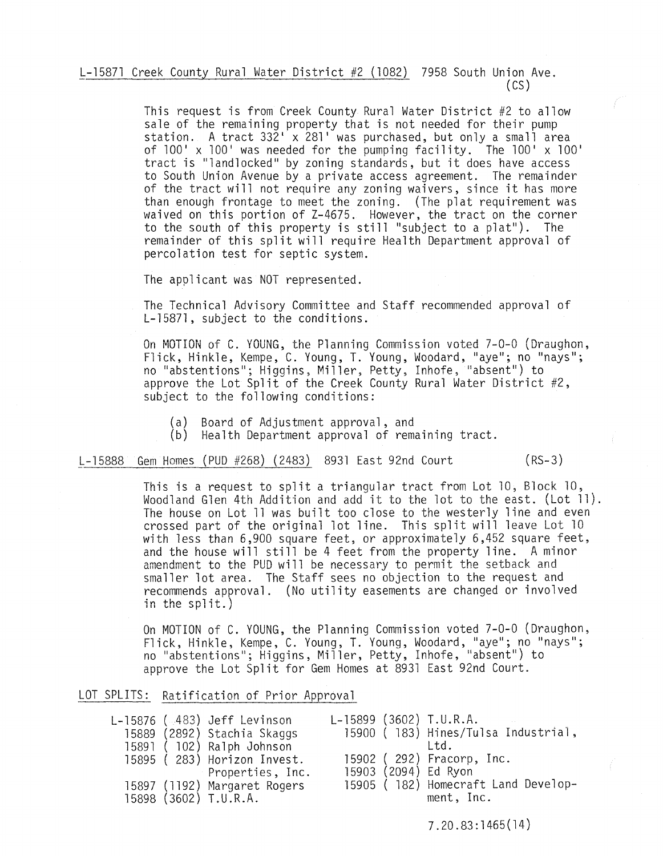L-1587l Creek County Rural Water District #2 (1082) 7958 South Union Ave. (CS)

> This request is from Creek County Rural Water District #2 to allow sale of the remaining property that is not needed for their pump station. A tract 332' x 281' was purchased, but only a small area of 100' x 100' was needed for the pumping facility. The 100' x 100' tract is "landlocked" by zoning standards, but it does have access to South Union Avenue by a private access agreement. The remainder of the tract will not require any zoning waivers, since it has more than enough frontage to meet the zoning. (The plat requirement was waived on this portion of Z-4675. However, the tract on the corner to the south of this property is still "subject to a plat"). The remainder of this split will require Health Department approval of percolation test for septic system.

The applicant was NOT represented.

The Technical Advisory Committee and Staff recommended approval of L-15871 , subject to the conditions.

On MOTION of C. YOUNG, the Planning Commission voted 7-0-0 (Draughon, Flick, Hinkle, Kempe, C. Young, T. Young, Woodard, "aye"; no "nays"; no "abstentions"; Higgins, Miller, Petty, Inhofe, "absent") to approve the Lot Split of the Creek County Rural Water District #2, subject to the following conditions:

- (a) Board of Adjustment approval, and
- (b) Health Department approval of remaining tract.

L-15888 Gem Homes (PUD #268) (2483) 8931 East 92nd Court (RS-3)

This is a request to split a triangular tract from Lot 10, Block 10, Woodland Glen 4th Addition and add it to the lot to the east. (Lot 11). The house on Lot 11 was built too close to the westerly line and even crossed part of the original lot line. This split will leave Lot 10 with less than 6,900 square feet, or approximately 6,452 square feet, and the house will still be 4 feet from the property line. A minor amendment to the PUD will be necessary to permit the setback and smaller lot area. The Staff sees no objection to the request and recommends approval. (No utility easements are changed or involved in the split.)

On MOTION of C. YOUNG, the Planning Commission voted 7-0-0 (Draughon, Flick, Hinkle, Kempe, C. Young, T. Young, Woodard, "aye"; no "nays"; no "abstentions"; Higgins, Miller, Petty, Inhofe, "absent") to approve the Lot Split for Gem Homes at 8931 East 92nd Court.

|  | LOT SPLITS: Ratification of Prior Approval |  |  |
|--|--------------------------------------------|--|--|
|  |                                            |  |  |

|  | L-15876 (483) Jeff Levinson<br>15889 (2892) Stachia Skaggs |  | $L-15899$ (3602) T.U.R.A.<br>15900 (183) Hines/Tulsa Industrial, |
|--|------------------------------------------------------------|--|------------------------------------------------------------------|
|  | 15891 (102) Ralph Johnson                                  |  | Ltd.                                                             |
|  | 15895 (283) Horizon Invest.                                |  | 15902 (292) Fracorp, Inc.                                        |
|  | Properties, Inc.                                           |  | 15903 (2094) Ed Ryon                                             |
|  | 15897 (1192) Margaret Rogers                               |  | 15905 (182) Homecraft Land Develop-                              |
|  | 15898 (3602) T.U.R.A.                                      |  | ment, Inc.                                                       |

7.20.83:1465(14)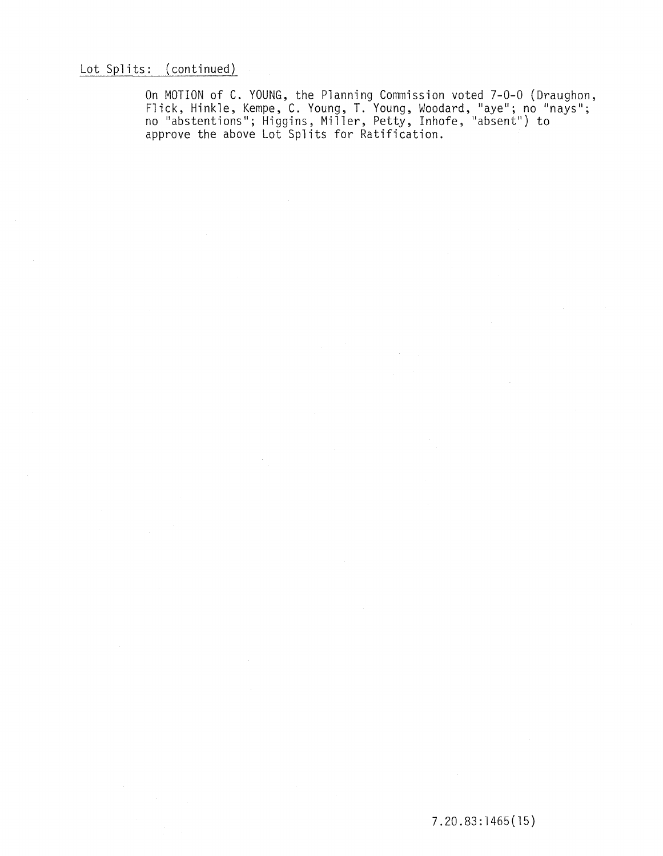Lot Splits: (continued)

On MOTION of C. YOUNG, the Planning Commission voted 7-0-0 (Draughon, Flick, Hinkle, Kempe, C. Young, T. Young, Woodard, "aye"; no "nays"; no "abstentions"; Higgins, Miller, Petty, Inhofe, "absent") to approve the above Lot Splits for Ratification.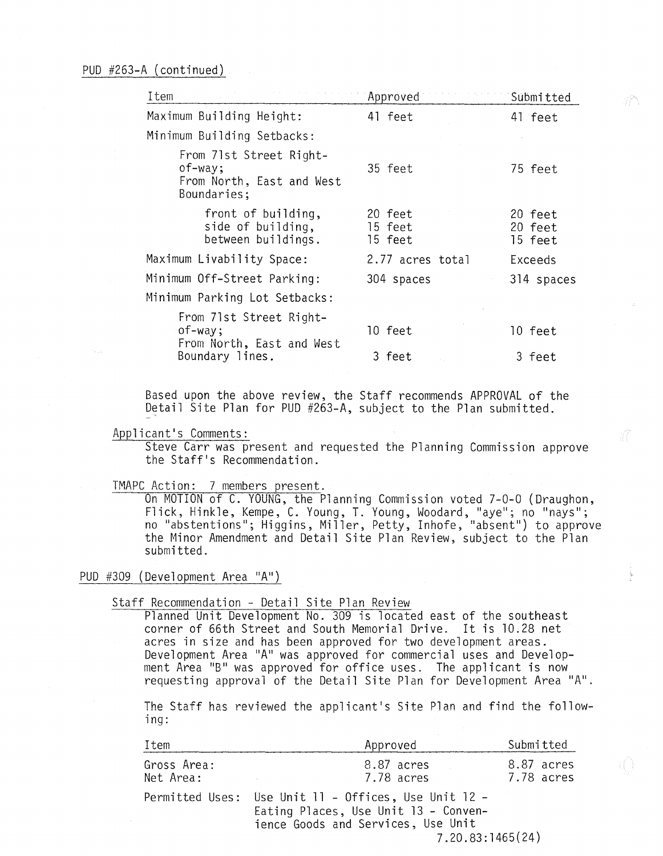| Item                                                                              | Approved                      | Submitted                     |
|-----------------------------------------------------------------------------------|-------------------------------|-------------------------------|
| Maximum Building Height:                                                          | 41 feet                       | 41 feet                       |
| Minimum Building Setbacks:                                                        |                               |                               |
| From 71st Street Right-<br>$of$ -way;<br>From North, East and West<br>Boundaries; | 35 feet                       | 75 feet                       |
| front of building,<br>side of building,<br>between buildings.                     | 20 feet<br>15 feet<br>15 feet | 20 feet<br>20 feet<br>15 feet |
| Maximum Livability Space:                                                         | 2.77 acres total              | Exceeds                       |
| Minimum Off-Street Parking:                                                       | 304 spaces                    | 314 spaces                    |
| Minimum Parking Lot Setbacks:                                                     |                               |                               |
| From 71st Street Right-<br>$of$ -way;<br>From North, East and West                | 10 feet                       | 10 feet                       |
| Boundary lines.                                                                   | 3 feet                        | 3 feet                        |

Based upon the above review, the Staff recommends APPROVAL of the Detail Site Plan for PUD #263-A, subject to the Plan submitted.

#### Applicant's Comments:

Steve Carr was present and requested the Planning Commission approve the Staff's Recommendation.

#### TMAPC Action: 7 members present.

On MOTION of C. YOUNG, the Planning Commission voted 7-0-0 (Draughon, Flick, Hinkle, Kempe, C. Young, T. Young, Woodard, "aye"; no "nays"; no "abstentions"; Higgins, Miller, Petty, Inhofe, "absent") to approve the Minor Amendment and Detail Site Plan Review, subject to the Plan submitted.

## PUD #309 (Development Area "A")

#### Staff Recommendation - Detail Site Plan Review

Planned Unit Development No. 309 is located east of the southeast corner of 66th Street and South Memorial Drive. It is 10.28 net acres in size and has been approved for two development areas. Development Area "A" was approved for commercial uses and Development Area "B" was approved for office uses. The applicant is now requesting approval of the Detail Site Plan for Development Area "A".

The Staff has reviewed the applicant's Site Plan and find the following:

| Item                     | Approved                                                                                                                                               | Submitted                |
|--------------------------|--------------------------------------------------------------------------------------------------------------------------------------------------------|--------------------------|
| Gross Area:<br>Net Area: | 8.87 acres<br>7.78 acres<br><b>Contractor</b>                                                                                                          | 8.87 acres<br>7.78 acres |
|                          | Permitted Uses: Use Unit 11 - Offices, Use Unit 12 -<br>Eating Places, Use Unit 13 - Conven-<br>ience Goods and Services, Use Unit<br>7.20.83:1465(24) |                          |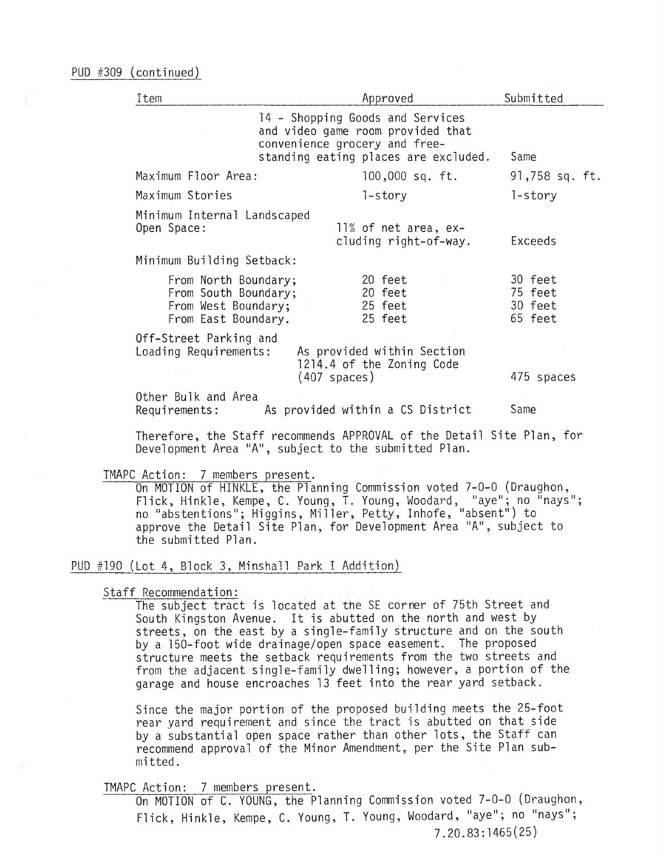| Item                                                                                       | Approved                                                                                                                                       | Submitted                                |
|--------------------------------------------------------------------------------------------|------------------------------------------------------------------------------------------------------------------------------------------------|------------------------------------------|
|                                                                                            | 14 - Shopping Goods and Services<br>and video game room provided that<br>convenience grocery and free-<br>standing eating places are excluded. | Same                                     |
| Maximum Floor Area:                                                                        | 100,000 sq. ft.                                                                                                                                | 91,758 sq. ft.                           |
| Maximum Stories                                                                            | 1-story                                                                                                                                        | l-story                                  |
| Minimum Internal Landscaped<br>Open Space:                                                 | 11% of net area, ex-<br>cluding right-of-way.                                                                                                  | Exceeds                                  |
| Minimum Building Setback:                                                                  |                                                                                                                                                |                                          |
| From North Boundary;<br>From South Boundary;<br>From West Boundary;<br>From East Boundary. | 20 feet<br>20 feet<br>25 feet<br>25 feet                                                                                                       | 30 feet<br>75 feet<br>30 feet<br>65 feet |
| Off-Street Parking and<br>Loading Requirements:                                            | As provided within Section<br>1214.4 of the Zoning Code<br>(407 spaces)                                                                        | 475 spaces                               |
| Other Bulk and Area<br>Requirements:                                                       | As provided within a CS District                                                                                                               | Same                                     |

Therefore, the Staff recommends APPROVAL of the Detail Site Plan, for Development Area "A", subject to the submitted Plan.

TMAPC Action: 7 members present.<br>On MOTION of HINKLE, the Planning Commission voted 7-0-0 (Draughon, Flick, Hinkle, Kempe, C. Young, T. Young, Woodard, "aye"; no linays"; no "abstentions"; Higgins, Miller, Petty, Inhofe, "absent") to approve the Detail Site Plan, for Development Area "A", subject to the submitted Plan.

# PUD **Lot 4 Block 3 Minshall Park I Addition**

Staff Recommendation:

The subject tract is located at the SE corner of 75th Street and South Kingston Avenue. It is abutted on the north and west by streets, on the east by a single-family structure and on the south by a l50-foot wide drainage/open space easement. The proposed structure meets the setback requirements from the two streets and from the adjacent single-family dwelling; however, a portion of the garage and house encroaches 13 feet into the rear yard setback.

Since the major portion of the proposed building meets the 25-foot rear yard requirement and since the tract is abutted on that side by a substantial open space rather than other lots, the Staff can recommend approval of the Minor Amendment, per the Site Plan submitted.

# TMAPC Action: 7 members present.

On MOTION of C. YOUNG, the Planning Commission voted 7-0-0 (Draughon, Flick, Hinkle, Kempe, C. Young, T. Young, Woodard, "aye"; no "nays"; 7.20.83:1465(25)